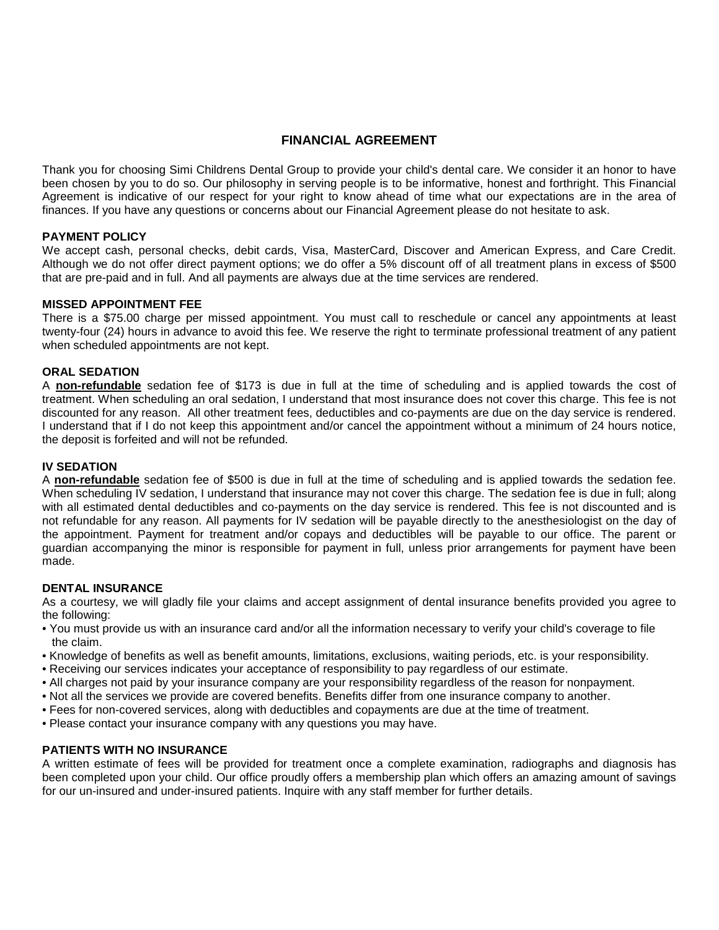# **FINANCIAL AGREEMENT**

Thank you for choosing Simi Childrens Dental Group to provide your child's dental care. We consider it an honor to have been chosen by you to do so. Our philosophy in serving people is to be informative, honest and forthright. This Financial Agreement is indicative of our respect for your right to know ahead of time what our expectations are in the area of finances. If you have any questions or concerns about our Financial Agreement please do not hesitate to ask.

### **PAYMENT POLICY**

We accept cash, personal checks, debit cards, Visa, MasterCard, Discover and American Express, and Care Credit. Although we do not offer direct payment options; we do offer a 5% discount off of all treatment plans in excess of \$500 that are pre-paid and in full. And all payments are always due at the time services are rendered.

## **MISSED APPOINTMENT FEE**

There is a \$75.00 charge per missed appointment. You must call to reschedule or cancel any appointments at least twenty-four (24) hours in advance to avoid this fee. We reserve the right to terminate professional treatment of any patient when scheduled appointments are not kept.

## **ORAL SEDATION**

A **non-refundable** sedation fee of \$173 is due in full at the time of scheduling and is applied towards the cost of treatment. When scheduling an oral sedation, I understand that most insurance does not cover this charge. This fee is not discounted for any reason. All other treatment fees, deductibles and co-payments are due on the day service is rendered. I understand that if I do not keep this appointment and/or cancel the appointment without a minimum of 24 hours notice, the deposit is forfeited and will not be refunded.

## **IV SEDATION**

A **non-refundable** sedation fee of \$500 is due in full at the time of scheduling and is applied towards the sedation fee. When scheduling IV sedation, I understand that insurance may not cover this charge. The sedation fee is due in full; along with all estimated dental deductibles and co-payments on the day service is rendered. This fee is not discounted and is not refundable for any reason. All payments for IV sedation will be payable directly to the anesthesiologist on the day of the appointment. Payment for treatment and/or copays and deductibles will be payable to our office. The parent or guardian accompanying the minor is responsible for payment in full, unless prior arrangements for payment have been made.

## **DENTAL INSURANCE**

As a courtesy, we will gladly file your claims and accept assignment of dental insurance benefits provided you agree to the following:

- You must provide us with an insurance card and/or all the information necessary to verify your child's coverage to file the claim.
- Knowledge of benefits as well as benefit amounts, limitations, exclusions, waiting periods, etc. is your responsibility.
- Receiving our services indicates your acceptance of responsibility to pay regardless of our estimate.
- All charges not paid by your insurance company are your responsibility regardless of the reason for nonpayment.
- Not all the services we provide are covered benefits. Benefits differ from one insurance company to another.
- Fees for non-covered services, along with deductibles and copayments are due at the time of treatment.
- Please contact your insurance company with any questions you may have.

## **PATIENTS WITH NO INSURANCE**

A written estimate of fees will be provided for treatment once a complete examination, radiographs and diagnosis has been completed upon your child. Our office proudly offers a membership plan which offers an amazing amount of savings for our un-insured and under-insured patients. Inquire with any staff member for further details.